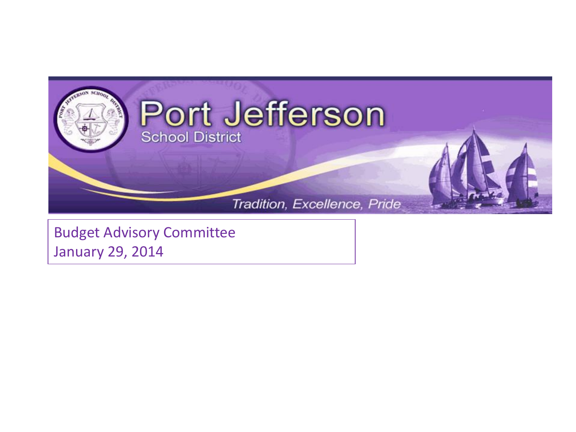

Budget Advisory Committee January 29, 2014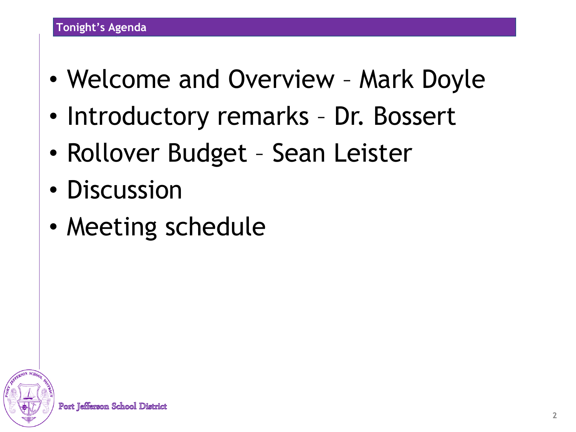- Welcome and Overview Mark Doyle
- Introductory remarks Dr. Bossert
- Rollover Budget Sean Leister
- Discussion
- Meeting schedule

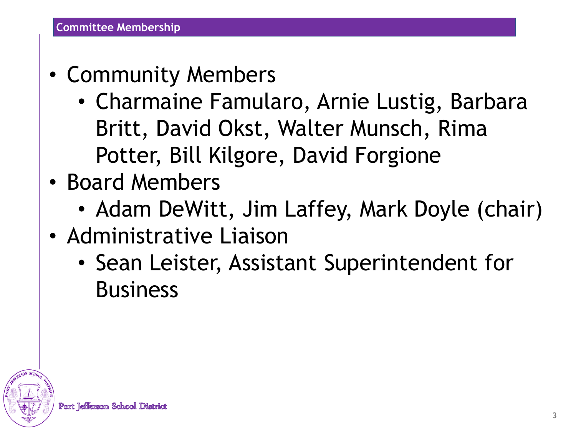- Community Members
	- Charmaine Famularo, Arnie Lustig, Barbara Britt, David Okst, Walter Munsch, Rima Potter, Bill Kilgore, David Forgione
- Board Members
	- Adam DeWitt, Jim Laffey, Mark Doyle (chair)
- Administrative Liaison
	- Sean Leister, Assistant Superintendent for Business

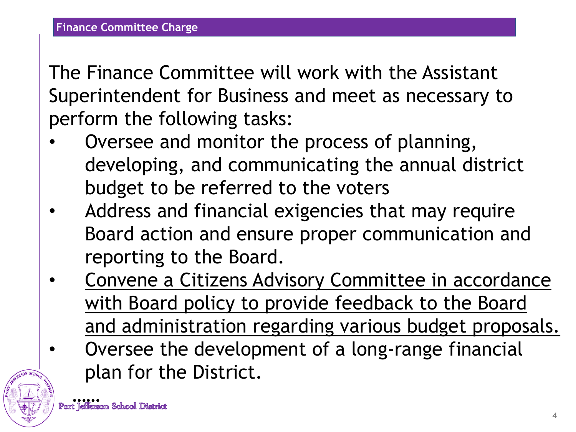The Finance Committee will work with the Assistant Superintendent for Business and meet as necessary to perform the following tasks:

- Oversee and monitor the process of planning, developing, and communicating the annual district budget to be referred to the voters
- Address and financial exigencies that may require Board action and ensure proper communication and reporting to the Board.
- Convene a Citizens Advisory Committee in accordance with Board policy to provide feedback to the Board and administration regarding various budget proposals.
- Oversee the development of a long-range financial plan for the District.

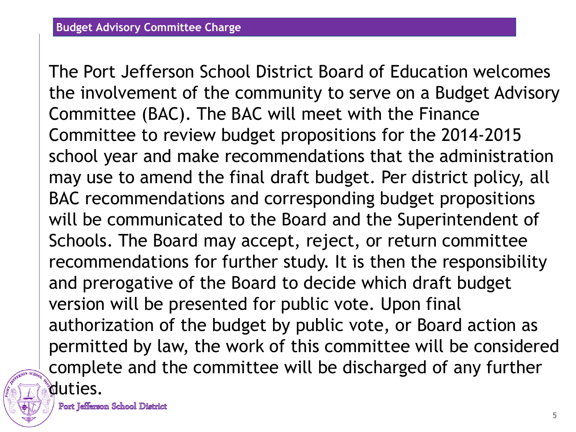The Port Jefferson School District Board of Education welcomes the involvement of the community to serve on a Budget Advisory Committee (BAC). The BAC will meet with the Finance Committee to review budget propositions for the 2014-2015 school year and make recommendations that the administration may use to amend the final draft budget. Per district policy, all BAC recommendations and corresponding budget propositions will be communicated to the Board and the Superintendent of Schools. The Board may accept, reject, or return committee recommendations for further study. It is then the responsibility and prerogative of the Board to decide which draft budget version will be presented for public vote. Upon final authorization of the budget by public vote, or Board action as permitted by law, the work of this committee will be considered complete and the committee will be discharged of any further duties.

Port Teffierson School District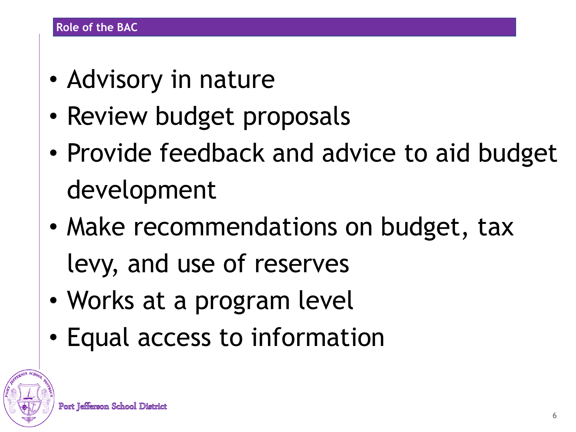- Advisory in nature
- Review budget proposals
- Provide feedback and advice to aid budget development
- Make recommendations on budget, tax levy, and use of reserves
- Works at a program level
- Equal access to information

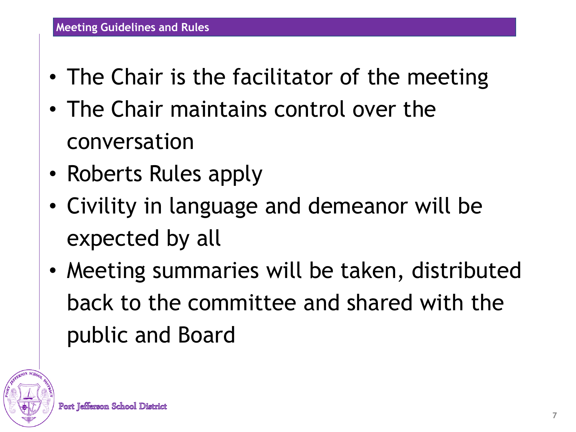- The Chair is the facilitator of the meeting
- The Chair maintains control over the conversation
- Roberts Rules apply
- Civility in language and demeanor will be expected by all
- Meeting summaries will be taken, distributed back to the committee and shared with the public and Board